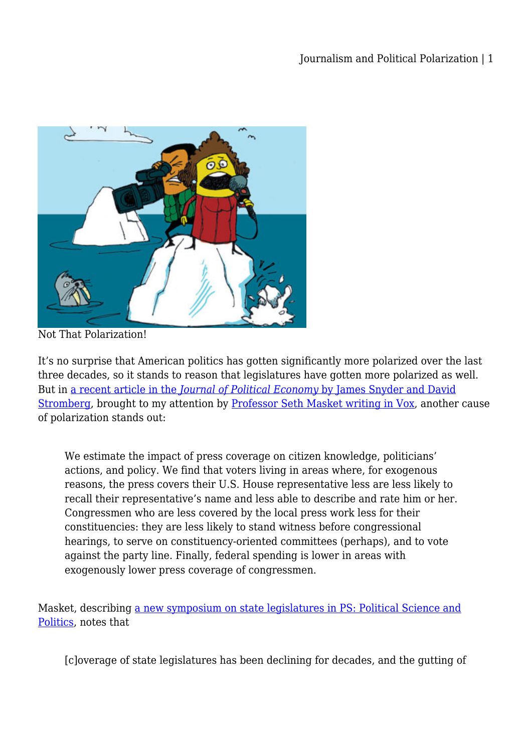

Not That Polarization!

It's no surprise that American politics has gotten significantly more polarized over the last three decades, so it stands to reason that legislatures have gotten more polarized as well. But in [a recent article in the](https://www.journals.uchicago.edu/doi/abs/10.1086/652903) *[Journal of Political Economy](https://www.journals.uchicago.edu/doi/abs/10.1086/652903)* [by James Snyder and David](https://www.journals.uchicago.edu/doi/abs/10.1086/652903) [Stromberg,](https://www.journals.uchicago.edu/doi/abs/10.1086/652903) brought to my attention by [Professor Seth Masket writing in Vox,](https://www.vox.com/mischiefs-of-faction/2019/4/16/18342676/legislature-polarizing-party-state?fbclid=IwAR0D6LbJLoRW_Yh1A3x794dFf92OSt4gCHzxbOJbyCgMIoYfKcWNVqfmfcc) another cause of polarization stands out:

We estimate the impact of press coverage on citizen knowledge, politicians' actions, and policy. We find that voters living in areas where, for exogenous reasons, the press covers their U.S. House representative less are less likely to recall their representative's name and less able to describe and rate him or her. Congressmen who are less covered by the local press work less for their constituencies: they are less likely to stand witness before congressional hearings, to serve on constituency-oriented committees (perhaps), and to vote against the party line. Finally, federal spending is lower in areas with exogenously lower press coverage of congressmen.

Masket, describing [a new symposium on state legislatures in PS: Political Science and](https://www.cambridge.org/core/journals/ps-political-science-and-politics/firstview?utm_source=Twitter&utm_medium=Social&utm_campaign=pps&utm_source=Twitter&utm_medium=Social&utm_campaign=psc&hootPostID=2a33dad29625254f9cef1ce3ea961735) [Politics,](https://www.cambridge.org/core/journals/ps-political-science-and-politics/firstview?utm_source=Twitter&utm_medium=Social&utm_campaign=pps&utm_source=Twitter&utm_medium=Social&utm_campaign=psc&hootPostID=2a33dad29625254f9cef1ce3ea961735) notes that

[c]overage of state legislatures has been declining for decades, and the gutting of